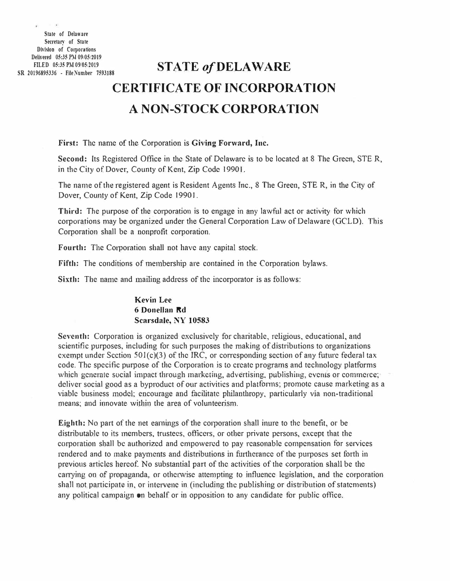State of Delaware Secretary of State Division of Corporations Delivered 05:35 PM 09/05/2019 FILED 05:35 PM 09:05:2019<br>SR 20196895336 - File Number 7593188

 $\bar{t}$ 

×.

## **STATE of DELAWARE CERTIFICATE OF lNCORPORA TION A NON-STOCK CORPORATION**

**First:** The name of the. Corporation is **Giving Forward, Inc.** 

Second: Its Registered Office in the State of Delaware is to be located at 8 The Green, STE R, in the City of Dover, County of Kent, Zip Code 19901.

The name of the registered agent is Resident Agents Inc., 8 The Green, STE R, in the City of Dover, County of Kent, Zip Code 19901.

Third: The purpose of the corporation is to engage in any lawful act or activity for which corporations may be organized under the General Corporation Law of Delaware (GCLD). This Corporation shall be a nonprofit corporation.

**Fourth:** The Corporation shall not have any capital stock.

**Fifth:** The conditions of membership are contained in the Corporation bylaws.

**Sixth:** The name and mailing address of the incorporator is as follows:

## **Kevin Lee 6 Donellan Rd Scandale, NY 10583**

**Seventh:** Corporation is organized exclusively for charitable, religious, educational, and scientific purposes, including for such purposes the making of distributions to organizatjons exempt under Section  $501(c)(3)$  of the IRC, or corresponding section of any future federal tax code. The specific purpose of the Corporation is to create programs and technology platforms which generate social impact through marketing, advertising, publishing, events or commerce; deliver social good as a byproduct of our activities and platforms; promote cause marketing as a viable business model; encourage and facilitate philanthropy, particularly via non-traditional means; and innovate within the area of volunteerism.

**Eighth:** No part of the net earnings of the corporation shall inure to the benefit, or be distributable to its members, trustees, officers, or other private persons, except that the corporation shall be authorized and empowered to pay reasonable compensation for services rendered and to make payments and distributions in furtherance of the purposes set forth in previous articles hereof No substantial part of the activities of the corporation shall be the carrying on of propaganda, or otherwise attempting to influence legislation, and the corporation shall not participate in, or intervene in (including the publishing or distribution of statements) any political campaign on behalf or in opposition to any candidate for public office.